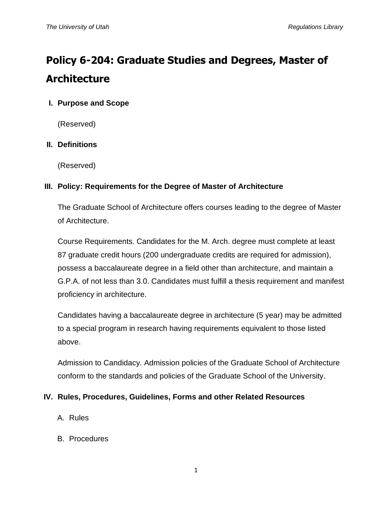# **Policy 6-204: Graduate Studies and Degrees, Master of Architecture**

## **I. Purpose and Scope**

(Reserved)

## **II. Definitions**

(Reserved)

## **III. Policy: Requirements for the Degree of Master of Architecture**

The Graduate School of Architecture offers courses leading to the degree of Master of Architecture.

Course Requirements. Candidates for the M. Arch. degree must complete at least 87 graduate credit hours (200 undergraduate credits are required for admission), possess a baccalaureate degree in a field other than architecture, and maintain a G.P.A. of not less than 3.0. Candidates must fulfill a thesis requirement and manifest proficiency in architecture.

Candidates having a baccalaureate degree in architecture (5 year) may be admitted to a special program in research having requirements equivalent to those listed above.

Admission to Candidacy. Admission policies of the Graduate School of Architecture conform to the standards and policies of the Graduate School of the University.

#### **IV. Rules, Procedures, Guidelines, Forms and other Related Resources**

- A. Rules
- B. Procedures